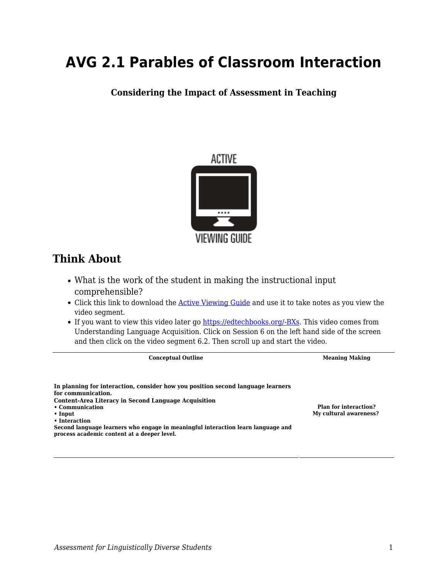# **AVG 2.1 Parables of Classroom Interaction**

**Considering the Impact of Assessment in Teaching**



# **Think About**

- What is the work of the student in making the instructional input comprehensible?
- Click this link to download the [Active Viewing Guide](https://byu.box.com/s/hgj57d2925rg9kh22armadymev8761a1) and use it to take notes as you view the video segment.
- If you want to view this video later go [https://edtechbooks.org/-BXs](https://education.byu.edu/tellvideolibrary/languageAcquisition). This video comes from Understanding Language Acquisition. Click on Session 6 on the left hand side of the screen and then click on the video segment 6.2. Then scroll up and start the video.

**Conceptual Outline Meaning Making In planning for interaction, consider how you position second language learners for communication. Content-Area Literacy in Second Language Acquisition • Communication • Input • Interaction Second language learners who engage in meaningful interaction learn language and process academic content at a deeper level. Plan for interaction? My cultural awareness?**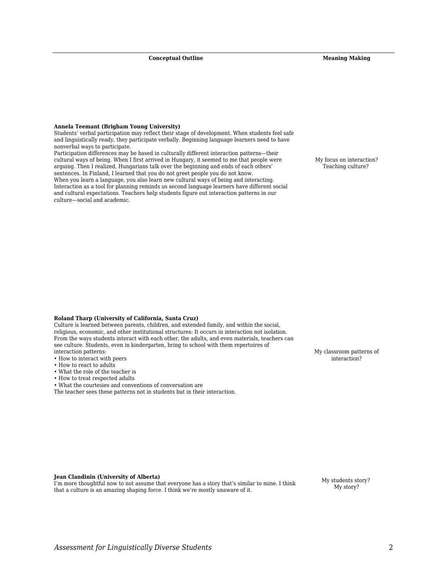**Conceptual Outline Meaning Making** 

#### **Annela Teemant (Brigham Young University)**

Students' verbal participation may reflect their stage of development. When students feel safe and linguistically ready, they participate verbally. Beginning language learners need to have nonverbal ways to participate.

Participation differences may be based in culturally different interaction patterns—their cultural ways of being. When I first arrived in Hungary, it seemed to me that people were arguing. Then I realized, Hungarians talk over the beginning and ends of each others' sentences. In Finland, I learned that you do not greet people you do not know. When you learn a language, you also learn new cultural ways of being and interacting. Interaction as a tool for planning reminds us second language learners have different social and cultural expectations. Teachers help students figure out interaction patterns in our culture—social and academic.

My focus on interaction? Teaching culture?

#### **Roland Tharp (University of California, Santa Cruz)**

Culture is learned between parents, children, and extended family, and within the social, religious, economic, and other institutional structures: It occurs in interaction not isolation. From the ways students interact with each other, the adults, and even materials, teachers can see culture. Students, even in kindergarten, bring to school with them repertoires of interaction patterns:

- How to interact with peers
- How to react to adults
- What the role of the teacher is
- How to treat respected adults

• What the courtesies and conventions of conversation are

The teacher sees these patterns not in students but in their interaction.

My classroom patterns of interaction?

**Jean Clandinin (University of Alberta)**

I'm more thoughtful now to not assume that everyone has a story that's similar to mine. I think that a culture is an amazing shaping force. I think we're mostly unaware of it.

My students story? My story?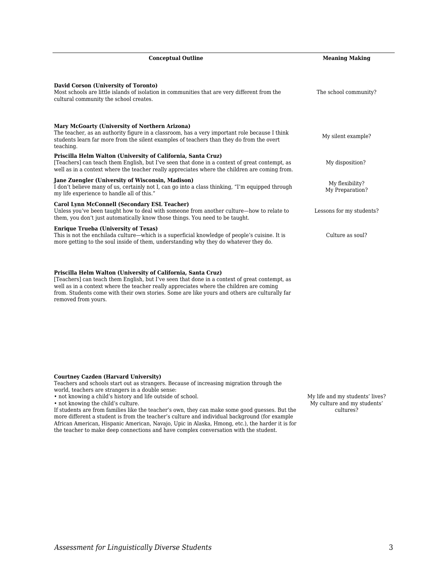| <b>Conceptual Outline</b>                                                                                                                                                                                                                                      | <b>Meaning Making</b>              |
|----------------------------------------------------------------------------------------------------------------------------------------------------------------------------------------------------------------------------------------------------------------|------------------------------------|
| David Corson (University of Toronto)<br>Most schools are little islands of isolation in communities that are very different from the<br>cultural community the school creates.                                                                                 | The school community?              |
| Mary McGoarty (University of Northern Arizona)<br>The teacher, as an authority figure in a classroom, has a very important role because I think<br>students learn far more from the silent examples of teachers than they do from the overt<br>teaching.       | My silent example?                 |
| Priscilla Helm Walton (University of California, Santa Cruz)<br>[Teachers] can teach them English, but I've seen that done in a context of great contempt, as<br>well as in a context where the teacher really appreciates where the children are coming from. | My disposition?                    |
| <b>Jane Zuengler (University of Wisconsin, Madison)</b><br>I don't believe many of us, certainly not I, can go into a class thinking, "I'm equipped through<br>my life experience to handle all of this."                                                      | My flexibility?<br>My Preparation? |
| Carol Lynn McConnell (Secondary ESL Teacher)<br>Unless you've been taught how to deal with someone from another culture-how to relate to<br>them, you don't just automatically know those things. You need to be taught.                                       | Lessons for my students?           |
| <b>Enrique Trueba (University of Texas)</b><br>This is not the enchilada culture—which is a superficial knowledge of people's cuisine. It is<br>more getting to the soul inside of them, understanding why they do whatever they do.                           | Culture as soul?                   |
|                                                                                                                                                                                                                                                                |                                    |

**Priscilla Helm Walton (University of California, Santa Cruz)**

[Teachers] can teach them English, but I've seen that done in a context of great contempt, as well as in a context where the teacher really appreciates where the children are coming from. Students come with their own stories. Some are like yours and others are culturally far removed from yours.

# **Courtney Cazden (Harvard University)**

Teachers and schools start out as strangers. Because of increasing migration through the

world, teachers are strangers in a double sense:

• not knowing a child's history and life outside of school.

• not knowing the child's culture.

If students are from families like the teacher's own, they can make some good guesses. But the more different a student is from the teacher's culture and individual background (for example African American, Hispanic American, Navajo, Upic in Alaska, Hmong, etc.), the harder it is for the teacher to make deep connections and have complex conversation with the student.

My life and my students' lives? My culture and my students' cultures?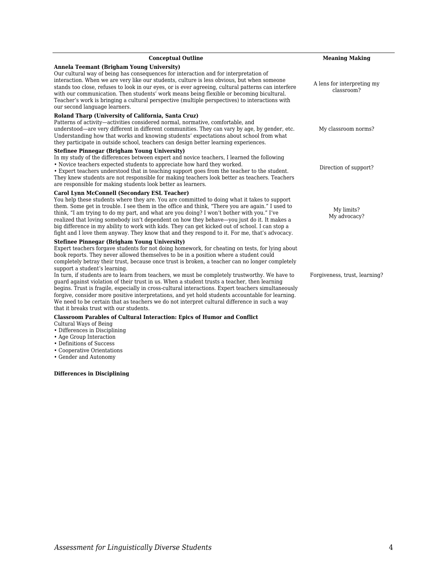| <b>Conceptual Outline</b>                                                                                                                                                                                                                                                                                                                                                                                                                                                                                                                                                                                                                                                                                                                                                                                                                                                                                                                   | <b>Meaning Making</b>                    |
|---------------------------------------------------------------------------------------------------------------------------------------------------------------------------------------------------------------------------------------------------------------------------------------------------------------------------------------------------------------------------------------------------------------------------------------------------------------------------------------------------------------------------------------------------------------------------------------------------------------------------------------------------------------------------------------------------------------------------------------------------------------------------------------------------------------------------------------------------------------------------------------------------------------------------------------------|------------------------------------------|
| Annela Teemant (Brigham Young University)<br>Our cultural way of being has consequences for interaction and for interpretation of<br>interaction. When we are very like our students, culture is less obvious, but when someone<br>stands too close, refuses to look in our eyes, or is ever agreeing, cultural patterns can interfere<br>with our communication. Then students' work means being flexible or becoming bicultural.<br>Teacher's work is bringing a cultural perspective (multiple perspectives) to interactions with<br>our second language learners.                                                                                                                                                                                                                                                                                                                                                                       | A lens for interpreting my<br>classroom? |
| Roland Tharp (University of California, Santa Cruz)<br>Patterns of activity—activities considered normal, normative, comfortable, and<br>understood—are very different in different communities. They can vary by age, by gender, etc.<br>Understanding how that works and knowing students' expectations about school from what<br>they participate in outside school, teachers can design better learning experiences.                                                                                                                                                                                                                                                                                                                                                                                                                                                                                                                    | My classroom norms?                      |
| <b>Stefinee Pinnegar (Brigham Young University)</b><br>In my study of the differences between expert and novice teachers, I learned the following<br>• Novice teachers expected students to appreciate how hard they worked.<br>• Expert teachers understood that in teaching support goes from the teacher to the student.<br>They knew students are not responsible for making teachers look better as teachers. Teachers<br>are responsible for making students look better as learners.                                                                                                                                                                                                                                                                                                                                                                                                                                                 | Direction of support?                    |
| <b>Carol Lynn McConnell (Secondary ESL Teacher)</b><br>You help these students where they are. You are committed to doing what it takes to support<br>them. Some get in trouble. I see them in the office and think, "There you are again." I used to<br>think, "I am trying to do my part, and what are you doing? I won't bother with you." I've<br>realized that loving somebody isn't dependent on how they behave—you just do it. It makes a<br>big difference in my ability to work with kids. They can get kicked out of school. I can stop a<br>fight and I love them anyway. They know that and they respond to it. For me, that's advocacy.                                                                                                                                                                                                                                                                                       | My limits?<br>My advocacy?               |
| <b>Stefinee Pinnegar (Brigham Young University)</b><br>Expert teachers forgave students for not doing homework, for cheating on tests, for lying about<br>book reports. They never allowed themselves to be in a position where a student could<br>completely betray their trust, because once trust is broken, a teacher can no longer completely<br>support a student's learning.<br>In turn, if students are to learn from teachers, we must be completely trustworthy. We have to<br>quard against violation of their trust in us. When a student trusts a teacher, then learning<br>begins. Trust is fragile, especially in cross-cultural interactions. Expert teachers simultaneously<br>forgive, consider more positive interpretations, and yet hold students accountable for learning.<br>We need to be certain that as teachers we do not interpret cultural difference in such a way<br>that it breaks trust with our students. | Forgiveness, trust, learning?            |

# **Classroom Parables of Cultural Interaction: Epics of Humor and Conflict**

- Cultural Ways of Being
- Differences in Disciplining
- Age Group Interaction
- Definitions of Success
- Cooperative Orientations
- Gender and Autonomy

# **Differences in Disciplining**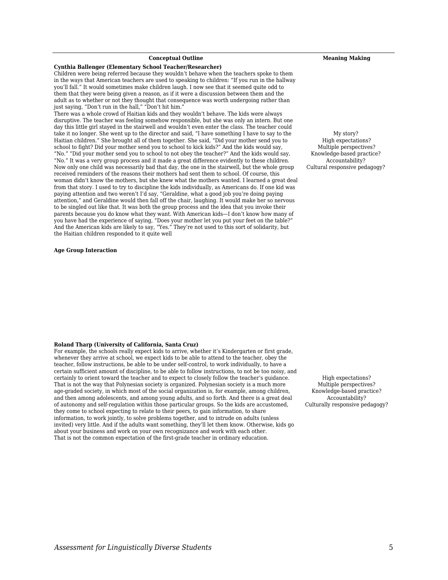# *Assessment for Linguistically Diverse Students* 5

**Roland Tharp (University of California, Santa Cruz)**

#### **Conceptual Outline Meaning Making**

#### **Cynthia Ballenger (Elementary School Teacher/Researcher)**

Children were being referred because they wouldn't behave when the teachers spoke to them in the ways that American teachers are used to speaking to children: "If you run in the hallway you'll fall." It would sometimes make children laugh. I now see that it seemed quite odd to them that they were being given a reason, as if it were a discussion between them and the adult as to whether or not they thought that consequence was worth undergoing rather than just saying, "Don't run in the hall," "Don't hit him."

There was a whole crowd of Haitian kids and they wouldn't behave. The kids were always disruptive. The teacher was feeling somehow responsible, but she was only an intern. But one day this little girl stayed in the stairwell and wouldn't even enter the class. The teacher could take it no longer. She went up to the director and said, "I have something I have to say to the Haitian children." She brought all of them together. She said, "Did your mother send you to school to fight? Did your mother send you to school to kick kids?" And the kids would say, "No." "Did your mother send you to school to not obey the teacher?" And the kids would say, "No." It was a very group process and it made a great difference evidently to these children. Now only one child was necessarily bad that day, the one in the stairwell, but the whole group received reminders of the reasons their mothers had sent them to school. Of course, this woman didn't know the mothers, but she knew what the mothers wanted. I learned a great deal from that story. I used to try to discipline the kids individually, as Americans do. If one kid was paying attention and two weren't I'd say, "Geraldine, what a good job you're doing paying attention," and Geraldine would then fall off the chair, laughing. It would make her so nervous to be singled out like that. It was both the group process and the idea that you invoke their parents because you do know what they want. With American kids—I don't know how many of you have had the experience of saying, "Does your mother let you put your feet on the table?" And the American kids are likely to say, "Yes." They're not used to this sort of solidarity, but the Haitian children responded to it quite well

For example, the schools really expect kids to arrive, whether it's Kindergarten or first grade, whenever they arrive at school, we expect kids to be able to attend to the teacher, obey the teacher, follow instructions, be able to be under self-control, to work individually, to have a certain sufficient amount of discipline, to be able to follow instructions, to not be too noisy, and certainly to orient toward the teacher and to expect to closely follow the teacher's guidance. That is not the way that Polynesian society is organized. Polynesian society is a much more age-graded society, in which most of the social organization is, for example, among children, and then among adolescents, and among young adults, and so forth. And there is a great deal of autonomy and self-regulation within those particular groups. So the kids are accustomed, they come to school expecting to relate to their peers, to gain information, to share information, to work jointly, to solve problems together, and to intrude on adults (unless invited) very little. And if the adults want something, they'll let them know. Otherwise, kids go

about your business and work on your own recognizance and work with each other. That is not the common expectation of the first-grade teacher in ordinary education.

#### **Age Group Interaction**

My story? High expectations? Multiple perspectives? Knowledge-based practice?

Accountability? Cultural responsive pedagogy?

# High expectations? Multiple perspectives? Knowledge-based practice? Accountability?

Culturally responsive pedagogy?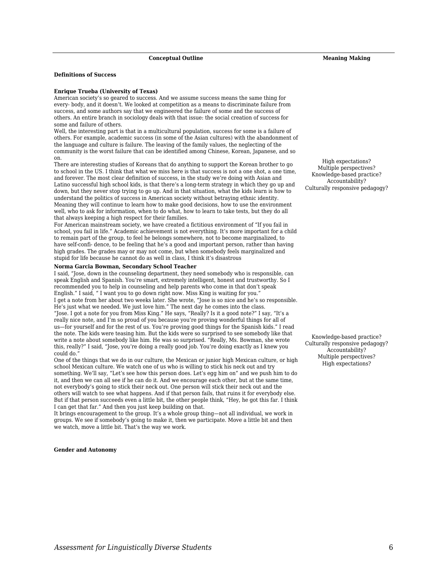#### **Definitions of Success**

#### **Enrique Trueba (University of Texas)**

American society's so geared to success. And we assume success means the same thing for every- body, and it doesn't. We looked at competition as a means to discriminate failure from success, and some authors say that we engineered the failure of some and the success of others. An entire branch in sociology deals with that issue: the social creation of success for some and failure of others.

Well, the interesting part is that in a multicultural population, success for some is a failure of others. For example, academic success (in some of the Asian cultures) with the abandonment of the language and culture is failure. The leaving of the family values, the neglecting of the community is the worst failure that can be identified among Chinese, Korean, Japanese, and so on.

There are interesting studies of Koreans that do anything to support the Korean brother to go to school in the US. I think that what we miss here is that success is not a one shot, a one time, and forever. The most clear definition of success, in the study we're doing with Asian and Latino successful high school kids, is that there's a long-term strategy in which they go up and down, but they never stop trying to go up. And in that situation, what the kids learn is how to understand the politics of success in American society without betraying ethnic identity. Meaning they will continue to learn how to make good decisions, how to use the environment well, who to ask for information, when to do what, how to learn to take tests, but they do all that always keeping a high respect for their families.

For American mainstream society, we have created a fictitious environment of "If you fail in school, you fail in life." Academic achievement is not everything. It's more important for a child to remain part of the group, to feel he belongs somewhere, not to become marginalized, to have self-confi- dence, to be feeling that he's a good and important person, rather than having high grades. The grades may or may not come, but when somebody feels marginalized and stupid for life because he cannot do as well in class, I think it's disastrous

#### **Norma Garcia Bowman, Secondary School Teacher**

I said, "Jose, down in the counseling department, they need somebody who is responsible, can speak English and Spanish. You're smart, extremely intelligent, honest and trustworthy. So I recommended you to help in counseling and help parents who come in that don't speak English." I said, " I want you to go down right now. Miss King is waiting for you." I get a note from her about two weeks later. She wrote, "Jose is so nice and he's so responsible. He's just what we needed. We just love him." The next day he comes into the class. "Jose. I got a note for you from Miss King." He says, "Really? Is it a good note?" I say, "It's a really nice note, and I'm so proud of you because you're proving wonderful things for all of us—for yourself and for the rest of us. You're proving good things for the Spanish kids." I read the note. The kids were teasing him. But the kids were so surprised to see somebody like that write a note about somebody like him. He was so surprised. "Really, Ms. Bowman, she wrote this, really?" I said, "Jose, you're doing a really good job. You're doing exactly as I knew you could do."

One of the things that we do in our culture, the Mexican or junior high Mexican culture, or high school Mexican culture. We watch one of us who is willing to stick his neck out and try something. We'll say, "Let's see how this person does. Let's egg him on" and we push him to do it, and then we can all see if he can do it. And we encourage each other, but at the same time, not everybody's going to stick their neck out. One person will stick their neck out and the others will watch to see what happens. And if that person fails, that ruins it for everybody else. But if that person succeeds even a little bit, the other people think, "Hey, he got this far. I think I can get that far." And then you just keep building on that.

It brings encouragement to the group. It's a whole group thing—not all individual, we work in groups. We see if somebody's going to make it, then we participate. Move a little bit and then we watch, move a little bit. That's the way we work.

#### **Gender and Autonomy**

High expectations? Multiple perspectives? Knowledge-based practice? Accountability? Culturally responsive pedagogy?

Knowledge-based practice? Culturally responsive pedagogy? Accountability? Multiple perspectives? High expectations?